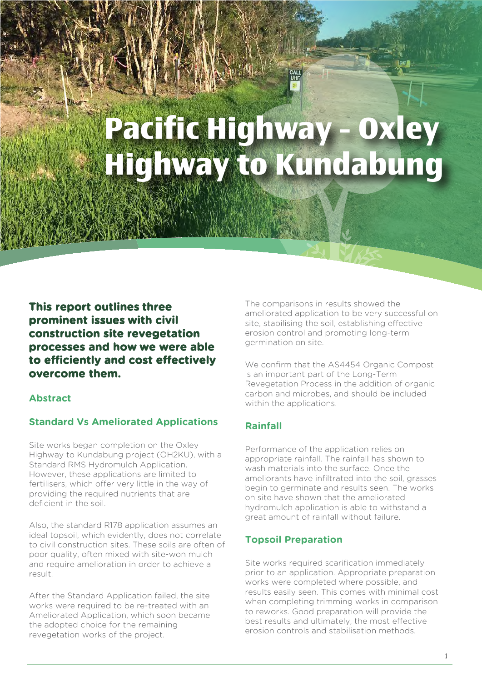# **Pacific Highway - Oxley Highway to Kundabung**

**This report outlines three prominent issues with civil construction site revegetation processes and how we were able to efficiently and cost effectively overcome them.**

#### **Abstract**

ad the

# **Standard Vs Ameliorated Applications**

Site works began completion on the Oxley Highway to Kundabung project (OH2KU), with a Standard RMS Hydromulch Application. However, these applications are limited to fertilisers, which offer very little in the way of providing the required nutrients that are deficient in the soil.

Also, the standard R178 application assumes an ideal topsoil, which evidently, does not correlate to civil construction sites. These soils are often of poor quality, often mixed with site-won mulch and require amelioration in order to achieve a result.

After the Standard Application failed, the site works were required to be re-treated with an Ameliorated Application, which soon became the adopted choice for the remaining revegetation works of the project.

The comparisons in results showed the ameliorated application to be very successful on site, stabilising the soil, establishing effective erosion control and promoting long-term germination on site.

We confirm that the AS4454 Organic Compost is an important part of the Long-Term Revegetation Process in the addition of organic carbon and microbes, and should be included within the applications.

# **Rainfall**

Performance of the application relies on appropriate rainfall. The rainfall has shown to wash materials into the surface. Once the ameliorants have infiltrated into the soil, grasses begin to germinate and results seen. The works on site have shown that the ameliorated hydromulch application is able to withstand a great amount of rainfall without failure.

#### **Topsoil Preparation**

Site works required scarification immediately prior to an application. Appropriate preparation works were completed where possible, and results easily seen. This comes with minimal cost when completing trimming works in comparison to reworks. Good preparation will provide the best results and ultimately, the most effective erosion controls and stabilisation methods.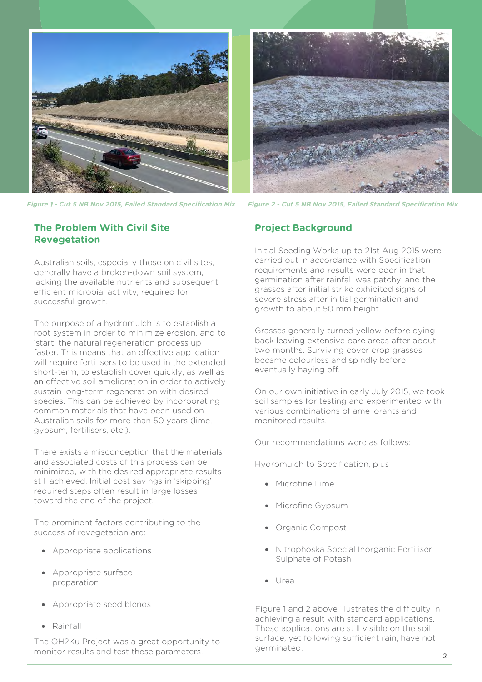

**Figure 1 - Cut 5 NB Nov 2015, Failed Standard Specification Mix Figure 2 - Cut 5 NB Nov 2015, Failed Standard Specification Mix**

#### **The Problem With Civil Site Revegetation**

Australian soils, especially those on civil sites, generally have a broken-down soil system, lacking the available nutrients and subsequent efficient microbial activity, required for successful growth.

The purpose of a hydromulch is to establish a root system in order to minimize erosion, and to 'start' the natural regeneration process up faster. This means that an effective application will require fertilisers to be used in the extended short-term, to establish cover quickly, as well as an effective soil amelioration in order to actively sustain long-term regeneration with desired species. This can be achieved by incorporating common materials that have been used on Australian soils for more than 50 years (lime, gypsum, fertilisers, etc.).

There exists a misconception that the materials and associated costs of this process can be minimized, with the desired appropriate results still achieved. Initial cost savings in 'skipping' required steps often result in large losses toward the end of the project.

The prominent factors contributing to the success of revegetation are:

- Appropriate applications
- Appropriate surface preparation
- Appropriate seed blends
- Rainfall

The OH2Ku Project was a great opportunity to monitor results and test these parameters.



#### **Project Background**

Initial Seeding Works up to 21st Aug 2015 were carried out in accordance with Specification requirements and results were poor in that germination after rainfall was patchy, and the grasses after initial strike exhibited signs of severe stress after initial germination and growth to about 50 mm height.

Grasses generally turned yellow before dying back leaving extensive bare areas after about two months. Surviving cover crop grasses became colourless and spindly before eventually haying off.

On our own initiative in early July 2015, we took soil samples for testing and experimented with various combinations of ameliorants and monitored results.

Our recommendations were as follows:

Hydromulch to Specification, plus

- Microfine Lime
- Microfine Gypsum
- Organic Compost
- Nitrophoska Special Inorganic Fertiliser Sulphate of Potash
- Urea

Figure 1 and 2 above illustrates the difficulty in achieving a result with standard applications. These applications are still visible on the soil surface, yet following sufficient rain, have not germinated.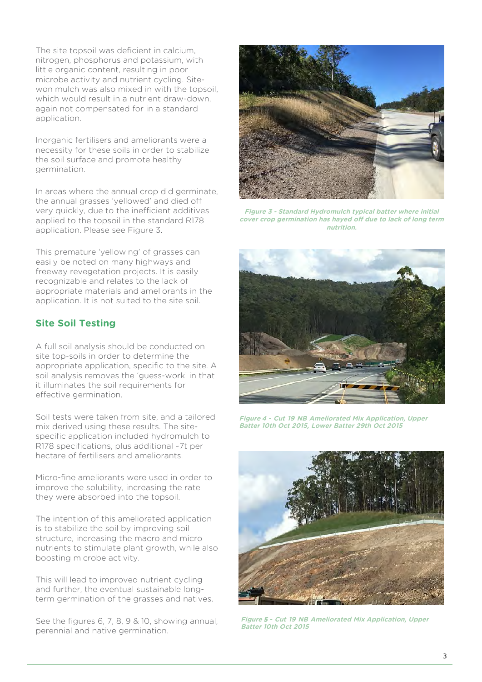The site topsoil was deficient in calcium, nitrogen, phosphorus and potassium, with little organic content, resulting in poor microbe activity and nutrient cycling. Sitewon mulch was also mixed in with the topsoil, which would result in a nutrient draw-down, again not compensated for in a standard application.

Inorganic fertilisers and ameliorants were a necessity for these soils in order to stabilize the soil surface and promote healthy germination.

In areas where the annual crop did germinate, the annual grasses 'yellowed' and died off very quickly, due to the inefficient additives applied to the topsoil in the standard R178 application. Please see Figure 3.

This premature 'yellowing' of grasses can easily be noted on many highways and freeway revegetation projects. It is easily recognizable and relates to the lack of appropriate materials and ameliorants in the application. It is not suited to the site soil.

#### **Site Soil Testing**

A full soil analysis should be conducted on site top-soils in order to determine the appropriate application, specific to the site. A soil analysis removes the 'guess-work' in that it illuminates the soil requirements for effective germination.

Soil tests were taken from site, and a tailored mix derived using these results. The sitespecific application included hydromulch to R178 specifications, plus additional ~7t per hectare of fertilisers and ameliorants.

Micro-fine ameliorants were used in order to improve the solubility, increasing the rate they were absorbed into the topsoil.

The intention of this ameliorated application is to stabilize the soil by improving soil structure, increasing the macro and micro nutrients to stimulate plant growth, while also boosting microbe activity.

This will lead to improved nutrient cycling and further, the eventual sustainable longterm germination of the grasses and natives.

See the figures 6, 7, 8, 9 & 10, showing annual, perennial and native germination.



**Figure 3 - Standard Hydromulch typical batter where initial cover crop germination has hayed off due to lack of long term nutrition.** 



**Figure 4 - Cut 19 NB Ameliorated Mix Application, Upper Batter 10th Oct 2015, Lower Batter 29th Oct 2015** 



**Figure 5 - Cut 19 NB Ameliorated Mix Application, Upper Batter 10th Oct 2015**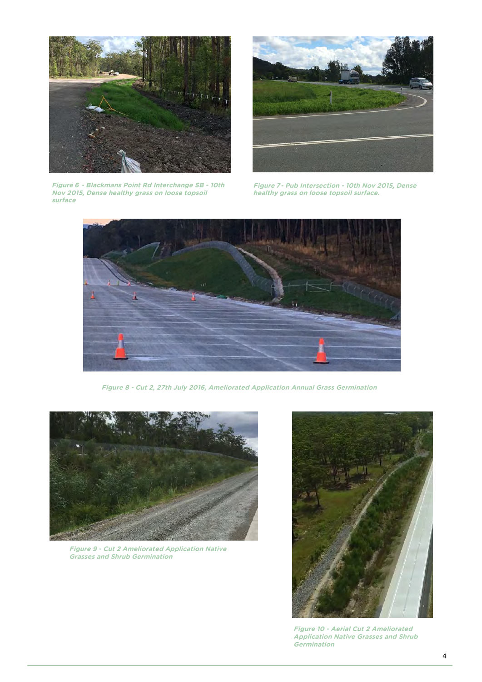

**Figure 6 - Blackmans Point Rd Interchange SB - 10th Nov 2015, Dense healthy grass on loose topsoil surface** 



**Figure 7- Pub Intersection - 10th Nov 2015, Dense healthy grass on loose topsoil surface.** 



**Figure 8 - Cut 2, 27th July 2016, Ameliorated Application Annual Grass Germination**



**Figure 9 - Cut 2 Ameliorated Application Native Grasses and Shrub Germination** 



**Figure 10 - Aerial Cut 2 Ameliorated Application Native Grasses and Shrub Germination**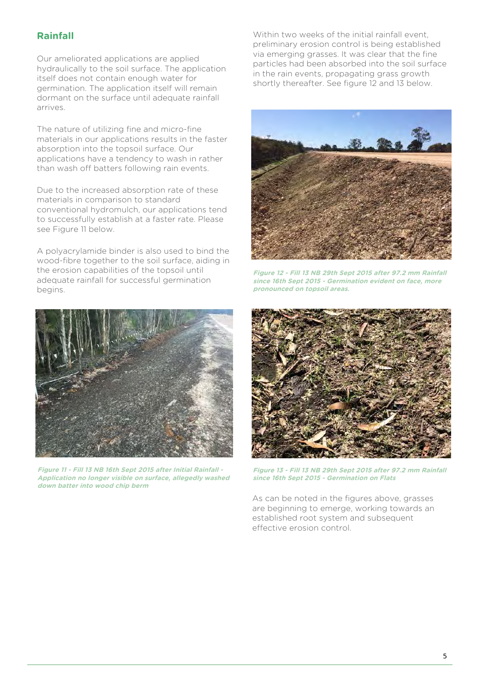# **Rainfall**

Our ameliorated applications are applied hydraulically to the soil surface. The application itself does not contain enough water for germination. The application itself will remain dormant on the surface until adequate rainfall arrives.

The nature of utilizing fine and micro-fine materials in our applications results in the faster absorption into the topsoil surface. Our applications have a tendency to wash in rather than wash off batters following rain events.

Due to the increased absorption rate of these materials in comparison to standard conventional hydromulch, our applications tend to successfully establish at a faster rate. Please see Figure 11 below.

A polyacrylamide binder is also used to bind the wood-fibre together to the soil surface, aiding in the erosion capabilities of the topsoil until adequate rainfall for successful germination begins.



**Figure 11 - Fill 13 NB 16th Sept 2015 after Initial Rainfall - Application no longer visible on surface, allegedly washed down batter into wood chip berm**

Within two weeks of the initial rainfall event, preliminary erosion control is being established via emerging grasses. It was clear that the fine particles had been absorbed into the soil surface in the rain events, propagating grass growth shortly thereafter. See figure 12 and 13 below.



**Figure 12 - Fill 13 NB 29th Sept 2015 after 97.2 mm Rainfall since 16th Sept 2015 - Germination evident on face, more pronounced on topsoil areas.** 



**Figure 13 - Fill 13 NB 29th Sept 2015 after 97.2 mm Rainfall since 16th Sept 2015 - Germination on Flats** 

As can be noted in the figures above, grasses are beginning to emerge, working towards an established root system and subsequent effective erosion control.